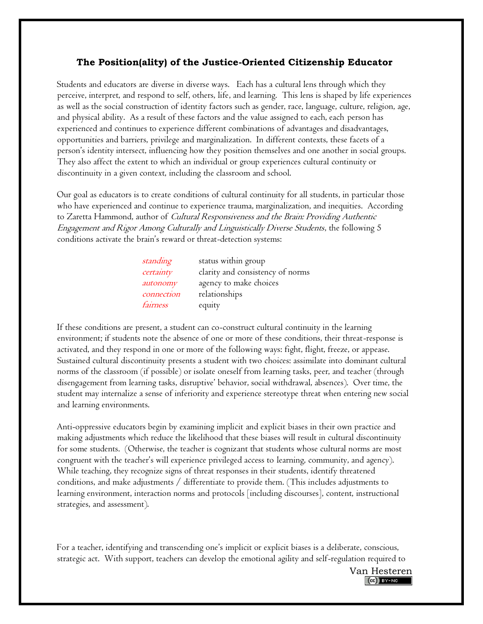## **The Position(ality) of the Justice-Oriented Citizenship Educator**

Students and educators are diverse in diverse ways. Each has a cultural lens through which they perceive, interpret, and respond to self, others, life, and learning. This lens is shaped by life experiences as well as the social construction of identity factors such as gender, race, language, culture, religion, age, and physical ability. As a result of these factors and the value assigned to each, each person has experienced and continues to experience different combinations of advantages and disadvantages, opportunities and barriers, privilege and marginalization. In different contexts, these facets of a person's identity intersect, influencing how they position themselves and one another in social groups. They also affect the extent to which an individual or group experiences cultural continuity or discontinuity in a given context, including the classroom and school.

Our goal as educators is to create conditions of cultural continuity for all students, in particular those who have experienced and continue to experience trauma, marginalization, and inequities. According to Zaretta Hammond, author of Cultural Responsiveness and the Brain: Providing Authentic Engagement and Rigor Among Culturally and Linguistically Diverse Students, the following 5 conditions activate the brain's reward or threat-detection systems:

| standing   | status within group              |
|------------|----------------------------------|
| certainty  | clarity and consistency of norms |
| autonomy   | agency to make choices           |
| connection | relationships                    |
| fairness   | equity                           |

If these conditions are present, a student can co-construct cultural continuity in the learning environment; if students note the absence of one or more of these conditions, their threat-response is activated, and they respond in one or more of the following ways: fight, flight, freeze, or appease. Sustained cultural discontinuity presents a student with two choices: assimilate into dominant cultural norms of the classroom (if possible) or isolate oneself from learning tasks, peer, and teacher (through disengagement from learning tasks, disruptive' behavior, social withdrawal, absences). Over time, the student may internalize a sense of inferiority and experience stereotype threat when entering new social and learning environments.

Anti-oppressive educators begin by examining implicit and explicit biases in their own practice and making adjustments which reduce the likelihood that these biases will result in cultural discontinuity for some students. (Otherwise, the teacher is cognizant that students whose cultural norms are most congruent with the teacher's will experience privileged access to learning, community, and agency). While teaching, they recognize signs of threat responses in their students, identify threatened conditions, and make adjustments / differentiate to provide them. (This includes adjustments to learning environment, interaction norms and protocols [including discourses], content, instructional strategies, and assessment).

For a teacher, identifying and transcending one's implicit or explicit biases is a deliberate, conscious, strategic act. With support, teachers can develop the emotional agility and self-regulation required to